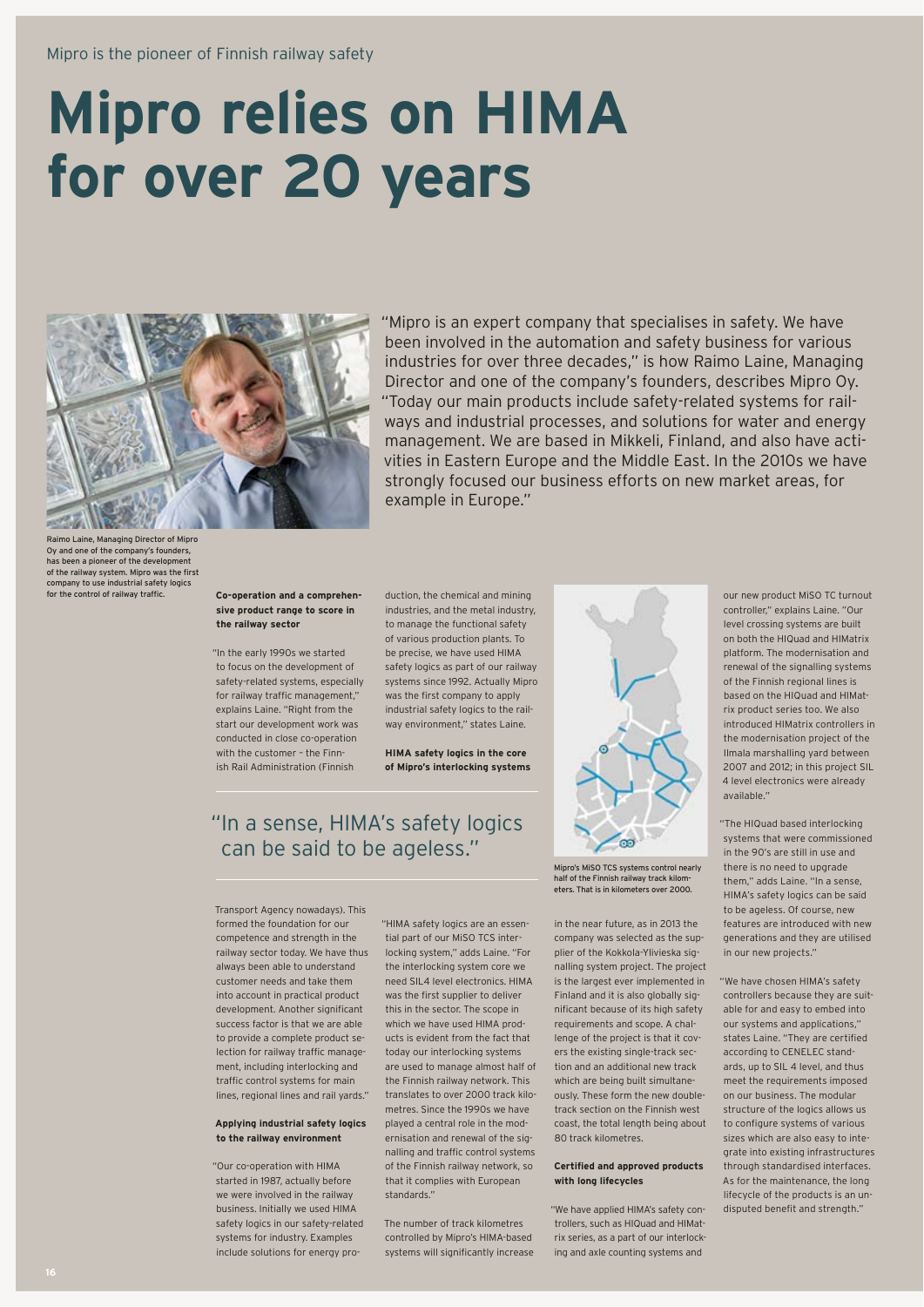# **Mipro relies on HIMA for over 20 years**



"Mipro is an expert company that specialises in safety. We have been involved in the automation and safety business for various industries for over three decades," is how Raimo Laine, Managing Director and one of the company's founders, describes Mipro Oy. "Today our main products include safety-related systems for railways and industrial processes, and solutions for water and energy management. We are based in Mikkeli, Finland, and also have activities in Eastern Europe and the Middle East. In the 2010s we have strongly focused our business efforts on new market areas, for example in Europe."

o Laine, Managing Director of Mipro Oy and one of the company's founders has been a pioneer of the development of the railway system. Mipro was the first company to use industrial safety logics for the control of railway traffic

### **Co-operation and a comprehensive product range to score in the railway sector**

"In the early 1990s we started to focus on the development of safety-related systems, especially for railway traffic management," explains Laine. "Right from the start our development work was conducted in close co-operation with the customer – the Finnish Rail Administration (Finnish

duction, the chemical and mining industries, and the metal industry, to manage the functional safety of various production plants. To be precise, we have used HIMA safety logics as part of our railway systems since 1992. Actually Mipro was the first company to apply industrial safety logics to the railway environment," states Laine.

**HIMA safety logics in the core of Mipro's interlocking systems**

## " In a sense, HIMA's safety logics can be said to be ageless."

Transport Agency nowadays). This formed the foundation for our competence and strength in the railway sector today. We have thus always been able to understand customer needs and take them into account in practical product development. Another significant success factor is that we are able to provide a complete product selection for railway traffic management, including interlocking and traffic control systems for main lines, regional lines and rail yards."

#### **Applying industrial safety logics to the railway environment**

"Our co-operation with HIMA started in 1987, actually before we were involved in the railway business. Initially we used HIMA safety logics in our safety-related systems for industry. Examples include solutions for energy pro"HIMA safety logics are an essential part of our MiSO TCS interlocking system," adds Laine. "For the interlocking system core we need SIL4 level electronics. HIMA was the first supplier to deliver this in the sector. The scope in which we have used HIMA products is evident from the fact that today our interlocking systems are used to manage almost half of the Finnish railway network. This translates to over 2000 track kilometres. Since the 1990s we have played a central role in the modernisation and renewal of the signalling and traffic control systems of the Finnish railway network, so that it complies with European standards."

The number of track kilometres controlled by Mipro's HIMA-based systems will significantly increase



Mipro's MiSO TCS systems control nearly half of the Finnish railway track kilometers. That is in kilometers over 2000.

in the near future, as in 2013 the company was selected as the supplier of the Kokkola-Ylivieska signalling system project. The project is the largest ever implemented in Finland and it is also globally significant because of its high safety requirements and scope. A challenge of the project is that it covers the existing single-track section and an additional new track which are being built simultaneously. These form the new doubletrack section on the Finnish west coast, the total length being about 80 track kilometres.

### **Certified and approved products with long lifecycles**

"We have applied HIMA's safety controllers, such as HIQuad and HIMatrix series, as a part of our interlocking and axle counting systems and

our new product MiSO TC turnout controller" explains Laine. "Our level crossing systems are built on both the HIQuad and HIMatrix platform. The modernisation and renewal of the signalling systems of the Finnish regional lines is based on the HIQuad and HIMatrix product series too. We also introduced HIMatrix controllers in the modernisation project of the Ilmala marshalling yard between 2007 and 2012; in this project SIL 4 level electronics were already available."

"The HIQuad based interlocking systems that were commissioned in the 90's are still in use and there is no need to upgrade them," adds Laine. "In a sense, HIMA's safety logics can be said to be ageless. Of course, new features are introduced with new generations and they are utilised in our new projects."

"We have chosen HIMA's safety controllers because they are suitable for and easy to embed into our systems and applications," states Laine. "They are certified according to CENELEC standards, up to SIL 4 level, and thus meet the requirements imposed on our business. The modular structure of the logics allows us to configure systems of various sizes which are also easy to integrate into existing infrastructures through standardised interfaces. As for the maintenance, the long lifecycle of the products is an undisputed benefit and strength."